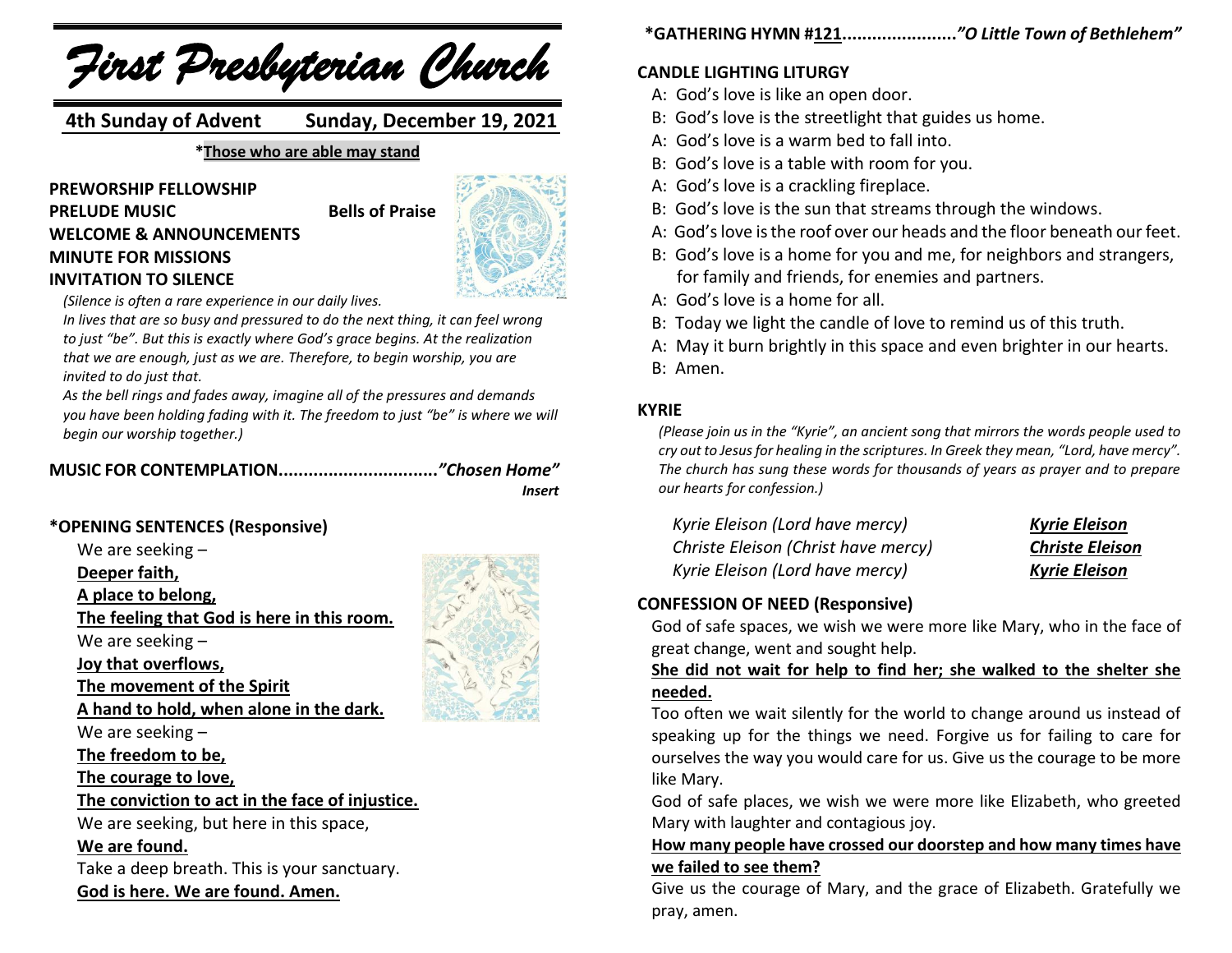*First Presbyterian Church*

 **4th Sunday of Advent Sunday, December 19, 2021**

**\*Those who are able may stand**

**PREWORSHIP FELLOWSHIP PRELUDE MUSIC** Bells of Praise **WELCOME & ANNOUNCEMENTS MINUTE FOR MISSIONS INVITATION TO SILENCE**



*(Silence is often a rare experience in our daily lives.*

*In lives that are so busy and pressured to do the next thing, it can feel wrong to just "be". But this is exactly where God's grace begins. At the realization that we are enough, just as we are. Therefore, to begin worship, you are invited to do just that.*

*As the bell rings and fades away, imagine all of the pressures and demands you have been holding fading with it. The freedom to just "be" is where we will begin our worship together.)*

**MUSIC FOR CONTEMPLATION................................***"Chosen Home" Insert*

## **\*OPENING SENTENCES (Responsive)**

We are seeking –

**Deeper faith,**

**A place to belong,**

**The feeling that God is here in this room.**

We are seeking –

**Joy that overflows,**

**The movement of the Spirit**

**A hand to hold, when alone in the dark.**

We are seeking –

**The freedom to be,**

**The courage to love,**

**The conviction to act in the face of injustice.**

We are seeking, but here in this space,

#### **We are found.**

Take a deep breath. This is your sanctuary. **God is here. We are found. Amen.**



## **CANDLE LIGHTING LITURGY**

- A: God's love is like an open door.
- B: God's love is the streetlight that guides us home.
- A: God's love is a warm bed to fall into.
- B: God's love is a table with room for you.
- A: God's love is a crackling fireplace.
- B: God's love is the sun that streams through the windows.
- A: God's love is the roof over our heads and the floor beneath our feet.
- B: God's love is a home for you and me, for neighbors and strangers, for family and friends, for enemies and partners.
- A: God's love is a home for all.
- B: Today we light the candle of love to remind us of this truth.
- A: May it burn brightly in this space and even brighter in our hearts.
- B: Amen.

#### **KYRIE**

*(Please join us in the "Kyrie", an ancient song that mirrors the words people used to cry out to Jesus for healing in the scriptures. In Greek they mean, "Lord, have mercy". The church has sung these words for thousands of years as prayer and to prepare our hearts for confession.)*

| Kyrie Eleison (Lord have mercy)     | <b>Kyrie Eleison</b>   |  |  |
|-------------------------------------|------------------------|--|--|
| Christe Eleison (Christ have mercy) | <b>Christe Eleison</b> |  |  |
| Kyrie Eleison (Lord have mercy)     | <b>Kyrie Eleison</b>   |  |  |

## **CONFESSION OF NEED (Responsive)**

God of safe spaces, we wish we were more like Mary, who in the face of great change, went and sought help.

## **She did not wait for help to find her; she walked to the shelter she needed.**

Too often we wait silently for the world to change around us instead of speaking up for the things we need. Forgive us for failing to care for ourselves the way you would care for us. Give us the courage to be more like Mary.

God of safe places, we wish we were more like Elizabeth, who greeted Mary with laughter and contagious joy.

## **How many people have crossed our doorstep and how many times have we failed to see them?**

Give us the courage of Mary, and the grace of Elizabeth. Gratefully we pray, amen.

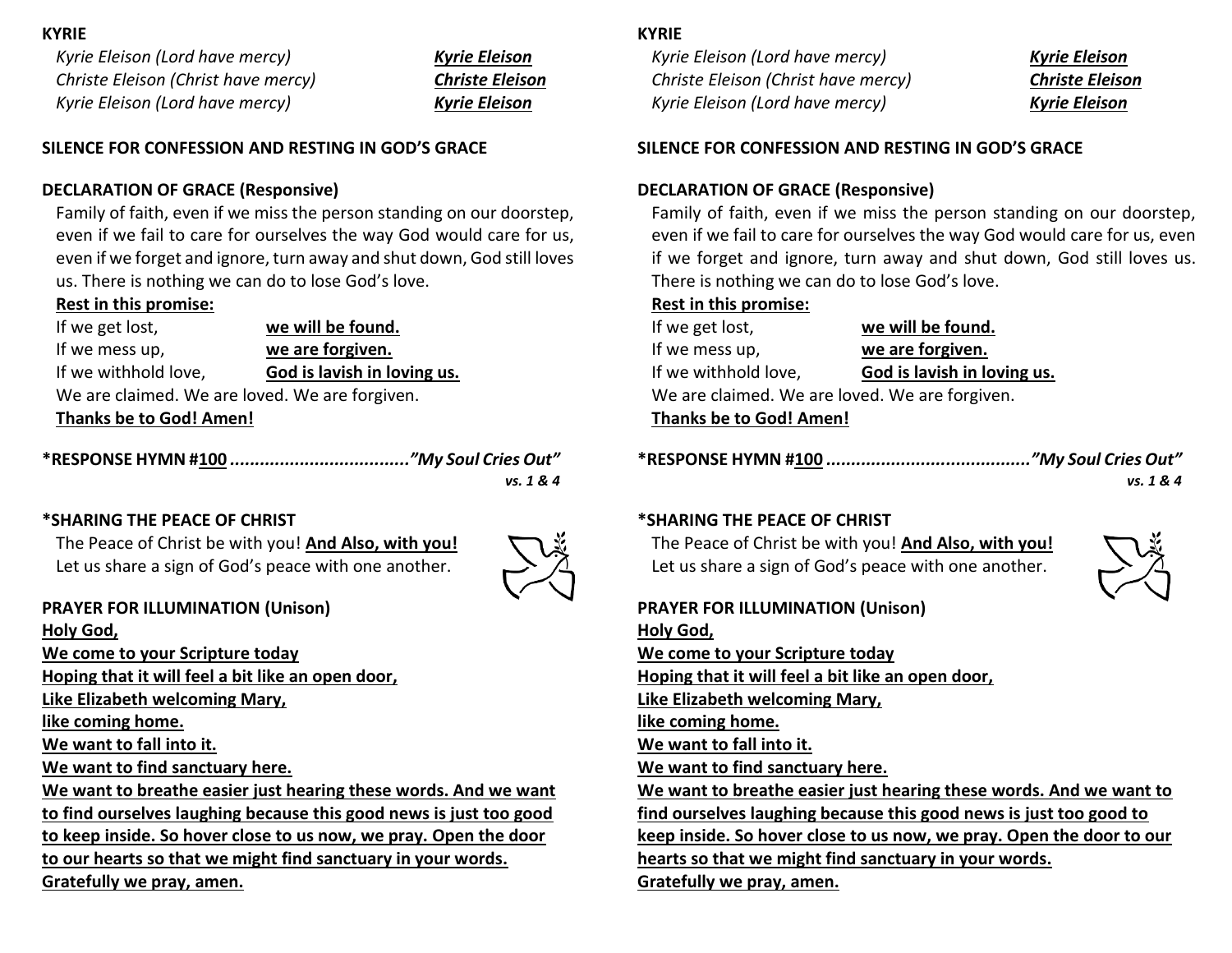#### **KYRIE**

*Kyrie Eleison (Lord have mercy) Kyrie Eleison Christe Eleison (Christ have mercy) Christe Eleison Kyrie Eleison (Lord have mercy) Kyrie Eleison*

#### **SILENCE FOR CONFESSION AND RESTING IN GOD'S GRACE**

#### **DECLARATION OF GRACE (Responsive)**

Family of faith, even if we miss the person standing on our doorstep, even if we fail to care for ourselves the way God would care for us, even if we forget and ignore, turn away and shut down, God still loves us. There is nothing we can do to lose God's love.

## **Rest in this promise:**

If we get lost, **we will be found.** If we mess up, **we are forgiven.** If we withhold love, **God is lavish in loving us.** We are claimed. We are loved. We are forgiven.

**Thanks be to God! Amen!**

| vs. 1 & 4 |
|-----------|

## **\*SHARING THE PEACE OF CHRIST**

The Peace of Christ be with you! **And Also, with you!** Let us share a sign of God's peace with one another.



## **PRAYER FOR ILLUMINATION (Unison)**

**Holy God, We come to your Scripture today Hoping that it will feel a bit like an open door, Like Elizabeth welcoming Mary, like coming home. We want to fall into it. We want to find sanctuary here. We want to breathe easier just hearing these words. And we want to find ourselves laughing because this good news is just too good to keep inside. So hover close to us now, we pray. Open the door to our hearts so that we might find sanctuary in your words. Gratefully we pray, amen.** 

## **KYRIE**

*Kyrie Eleison (Lord have mercy) Kyrie Eleison Christe Eleison (Christ have mercy) Christe Eleison Kyrie Eleison (Lord have mercy) Kyrie Eleison*

#### **SILENCE FOR CONFESSION AND RESTING IN GOD'S GRACE**

#### **DECLARATION OF GRACE (Responsive)**

Family of faith, even if we miss the person standing on our doorstep, even if we fail to care for ourselves the way God would care for us, even if we forget and ignore, turn away and shut down, God still loves us. There is nothing we can do to lose God's love.

#### **Rest in this promise:**

| If we get lost,                                | we will be found.           |  |  |  |
|------------------------------------------------|-----------------------------|--|--|--|
| If we mess up,                                 | we are forgiven.            |  |  |  |
| If we withhold love,                           | God is lavish in loving us. |  |  |  |
| We are claimed. We are loved. We are forgiven. |                             |  |  |  |
| <b>Thanks be to God! Amen!</b>                 |                             |  |  |  |

|--|--|--|--|--|--|

*vs. 1 & 4*

## **\*SHARING THE PEACE OF CHRIST**

The Peace of Christ be with you! **And Also, with you!** Let us share a sign of God's peace with one another.



**PRAYER FOR ILLUMINATION (Unison) Holy God, We come to your Scripture today Hoping that it will feel a bit like an open door, Like Elizabeth welcoming Mary, like coming home. We want to fall into it. We want to find sanctuary here. We want to breathe easier just hearing these words. And we want to find ourselves laughing because this good news is just too good to keep inside. So hover close to us now, we pray. Open the door to our hearts so that we might find sanctuary in your words. Gratefully we pray, amen.**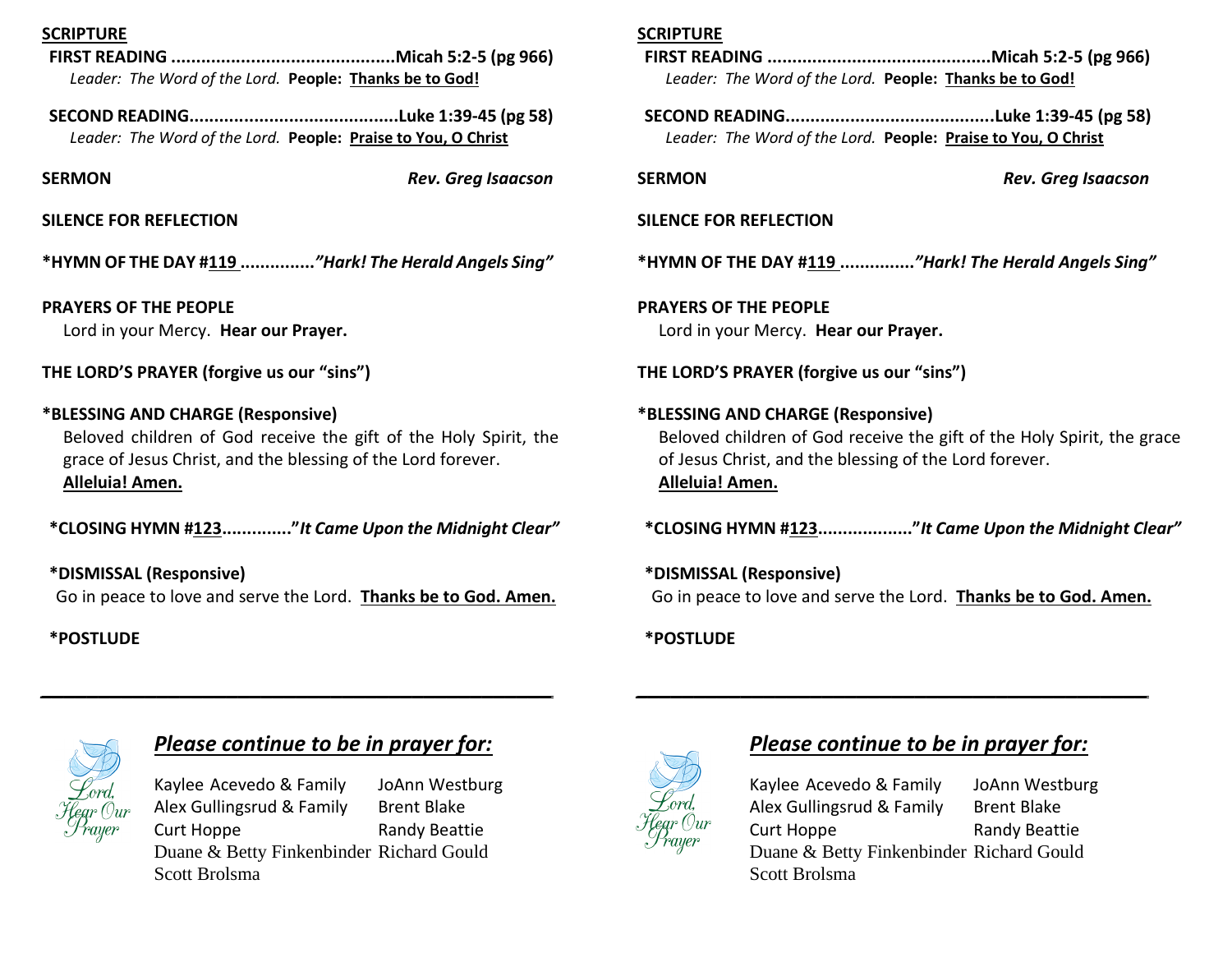## **SCRIPTURE**

- **FIRST READING .............................................Micah 5:2-5 (pg 966)** *Leader: The Word of the Lord.* **People: Thanks be to God!**
- **SECOND READING..........................................Luke 1:39-45 (pg 58)** *Leader: The Word of the Lord.* **People: Praise to You, O Christ**

**SERMON** *Rev. Greg Isaacson*

## **SILENCE FOR REFLECTION**

**\*HYMN OF THE DAY #119 ...............***"Hark! The Herald Angels Sing"*

**PRAYERS OF THE PEOPLE** Lord in your Mercy. **Hear our Prayer.**

**THE LORD'S PRAYER (forgive us our "sins")**

## **\*BLESSING AND CHARGE (Responsive)**

Beloved children of God receive the gift of the Holy Spirit, the grace of Jesus Christ, and the blessing of the Lord forever. **Alleluia! Amen.**

**\*CLOSING HYMN #123.............."***It Came Upon the Midnight Clear"*

**\*DISMISSAL (Responsive)** Go in peace to love and serve the Lord. **Thanks be to God. Amen.**

*\_\_\_\_\_\_\_\_\_\_\_\_\_\_\_\_\_\_\_\_\_\_\_\_\_\_\_\_\_\_\_\_\_\_\_\_\_\_\_\_\_\_\_\_*

## **\*POSTLUDE**

## **SCRIPTURE**

- **FIRST READING .............................................Micah 5:2-5 (pg 966)** *Leader: The Word of the Lord.* **People: Thanks be to God!**
- **SECOND READING..........................................Luke 1:39-45 (pg 58)** *Leader: The Word of the Lord.* **People: Praise to You, O Christ**

**SERMON** *Rev. Greg Isaacson*

#### **SILENCE FOR REFLECTION**

**\*HYMN OF THE DAY #119 ...............***"Hark! The Herald Angels Sing"*

**PRAYERS OF THE PEOPLE** Lord in your Mercy. **Hear our Prayer.**

**THE LORD'S PRAYER (forgive us our "sins")**

**\*BLESSING AND CHARGE (Responsive)**  Beloved children of God receive the gift of the Holy Spirit, the grace of Jesus Christ, and the blessing of the Lord forever. **Alleluia! Amen.**

**\*CLOSING HYMN #123..................."***It Came Upon the Midnight Clear"*

**\*DISMISSAL (Responsive)** Go in peace to love and serve the Lord. **Thanks be to God. Amen.**

*\_\_\_\_\_\_\_\_\_\_\_\_\_\_\_\_\_\_\_\_\_\_\_\_\_\_\_\_\_\_\_\_\_\_\_\_\_\_\_\_\_\_\_\_*

## **\*POSTLUDE**



## *Please continue to be in prayer for:*

Kaylee Acevedo & Family JoAnn Westburg Alex Gullingsrud & Family Brent Blake Curt Hoppe Randy Beattie Duane & Betty Finkenbinder Richard Gould Scott Brolsma



# *Please continue to be in prayer for:*

Kaylee Acevedo & Family JoAnn Westburg Alex Gullingsrud & Family Brent Blake Curt Hoppe Randy Beattie Duane & Betty Finkenbinder Richard Gould Scott Brolsma